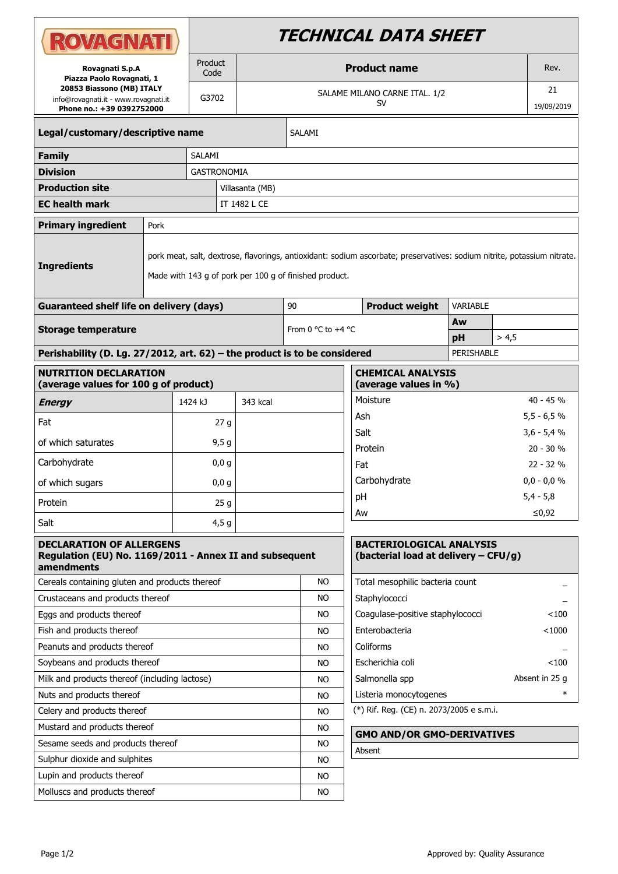| Product<br><b>Product name</b><br>Rev.<br>Rovagnati S.p.A<br>Code<br>Piazza Paolo Rovagnati, 1<br>20853 Biassono (MB) ITALY<br>21<br>SALAME MILANO CARNE ITAL. 1/2<br>G3702<br>info@rovagnati.it - www.rovagnati.it<br><b>SV</b><br>19/09/2019<br>Phone no.: +39 0392752000<br>Legal/customary/descriptive name<br>SALAMI<br>SALAMI<br><b>Family</b><br><b>Division</b><br><b>GASTRONOMIA</b><br><b>Production site</b><br>Villasanta (MB) |
|--------------------------------------------------------------------------------------------------------------------------------------------------------------------------------------------------------------------------------------------------------------------------------------------------------------------------------------------------------------------------------------------------------------------------------------------|
|                                                                                                                                                                                                                                                                                                                                                                                                                                            |
|                                                                                                                                                                                                                                                                                                                                                                                                                                            |
|                                                                                                                                                                                                                                                                                                                                                                                                                                            |
|                                                                                                                                                                                                                                                                                                                                                                                                                                            |
|                                                                                                                                                                                                                                                                                                                                                                                                                                            |
|                                                                                                                                                                                                                                                                                                                                                                                                                                            |
| <b>EC health mark</b><br>IT 1482 L CE                                                                                                                                                                                                                                                                                                                                                                                                      |
| <b>Primary ingredient</b><br>Pork                                                                                                                                                                                                                                                                                                                                                                                                          |
| pork meat, salt, dextrose, flavorings, antioxidant: sodium ascorbate; preservatives: sodium nitrite, potassium nitrate.<br><b>Ingredients</b><br>Made with 143 g of pork per 100 g of finished product.                                                                                                                                                                                                                                    |
| <b>Guaranteed shelf life on delivery (days)</b><br><b>Product weight</b><br>VARIABLE<br>90                                                                                                                                                                                                                                                                                                                                                 |
| Aw<br>From 0 °C to +4 °C<br><b>Storage temperature</b>                                                                                                                                                                                                                                                                                                                                                                                     |
| pH<br>> 4.5                                                                                                                                                                                                                                                                                                                                                                                                                                |
| Perishability (D. Lg. 27/2012, art. 62) - the product is to be considered<br>PERISHABLE                                                                                                                                                                                                                                                                                                                                                    |
| <b>NUTRITION DECLARATION</b><br><b>CHEMICAL ANALYSIS</b><br>(average values for 100 g of product)<br>(average values in %)                                                                                                                                                                                                                                                                                                                 |
| Moisture<br>40 - 45 %<br>343 kcal<br>1424 kJ<br><b>Energy</b>                                                                                                                                                                                                                                                                                                                                                                              |
| $5,5 - 6,5 %$<br>Ash<br>Fat<br>27 <sub>q</sub>                                                                                                                                                                                                                                                                                                                                                                                             |
| $3,6 - 5,4 %$<br>Salt                                                                                                                                                                                                                                                                                                                                                                                                                      |
| of which saturates<br>9,5g<br>Protein<br>$20 - 30 %$                                                                                                                                                                                                                                                                                                                                                                                       |
| Carbohydrate<br>0,0,9<br>Fat<br>$22 - 32%$                                                                                                                                                                                                                                                                                                                                                                                                 |
| $0,0 - 0,0 %$<br>Carbohydrate<br>of which sugars<br>0,0,9                                                                                                                                                                                                                                                                                                                                                                                  |
| рH<br>$5,4 - 5,8$<br>Protein<br>25q                                                                                                                                                                                                                                                                                                                                                                                                        |
| Aw<br>≤0,92                                                                                                                                                                                                                                                                                                                                                                                                                                |
| Salt<br>4,5g                                                                                                                                                                                                                                                                                                                                                                                                                               |
| <b>BACTERIOLOGICAL ANALYSIS</b><br><b>DECLARATION OF ALLERGENS</b><br>Regulation (EU) No. 1169/2011 - Annex II and subsequent<br>(bacterial load at delivery - CFU/g)<br>amendments                                                                                                                                                                                                                                                        |
| <b>NO</b><br>Total mesophilic bacteria count<br>Cereals containing gluten and products thereof                                                                                                                                                                                                                                                                                                                                             |
| Staphylococci<br>Crustaceans and products thereof<br>NO                                                                                                                                                                                                                                                                                                                                                                                    |
| Eggs and products thereof<br>NO<br>Coagulase-positive staphylococci<br>$<$ 100                                                                                                                                                                                                                                                                                                                                                             |
| Enterobacteria<br>Fish and products thereof<br>$<$ 1000<br><b>NO</b>                                                                                                                                                                                                                                                                                                                                                                       |
| Peanuts and products thereof<br>Coliforms<br>NO.                                                                                                                                                                                                                                                                                                                                                                                           |
| Soybeans and products thereof<br>Escherichia coli<br>$<$ 100<br>NO.                                                                                                                                                                                                                                                                                                                                                                        |
| Milk and products thereof (including lactose)<br>Salmonella spp<br>Absent in 25 g<br>NO.                                                                                                                                                                                                                                                                                                                                                   |
| Nuts and products thereof<br>Listeria monocytogenes<br><b>NO</b>                                                                                                                                                                                                                                                                                                                                                                           |
| (*) Rif. Reg. (CE) n. 2073/2005 e s.m.i.<br>Celery and products thereof<br>NO.                                                                                                                                                                                                                                                                                                                                                             |
| Mustard and products thereof<br><b>NO</b>                                                                                                                                                                                                                                                                                                                                                                                                  |
| <b>GMO AND/OR GMO-DERIVATIVES</b><br>Sesame seeds and products thereof<br>NO.                                                                                                                                                                                                                                                                                                                                                              |
| Absent<br>Sulphur dioxide and sulphites<br>NO.                                                                                                                                                                                                                                                                                                                                                                                             |
| Lupin and products thereof<br><b>NO</b>                                                                                                                                                                                                                                                                                                                                                                                                    |
| Molluscs and products thereof<br>NO                                                                                                                                                                                                                                                                                                                                                                                                        |